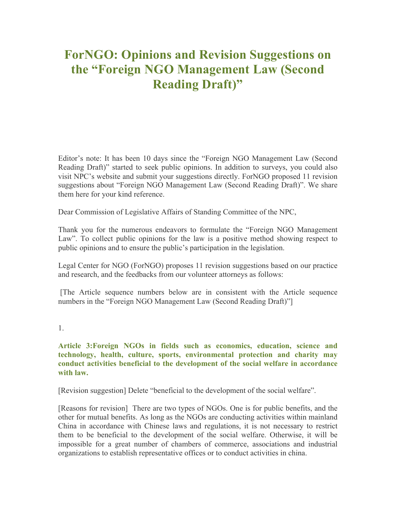# **ForNGO: Opinions and Revision Suggestions on the "Foreign NGO Management Law (Second Reading Draft)"**

Editor's note: It has been 10 days since the "Foreign NGO Management Law (Second Reading Draft)" started to seek public opinions. In addition to surveys, you could also visit NPC's website and submit your suggestions directly. ForNGO proposed 11 revision suggestions about "Foreign NGO Management Law (Second Reading Draft)". We share them here for your kind reference.

Dear Commission of Legislative Affairs of Standing Committee of the NPC,

Thank you for the numerous endeavors to formulate the "Foreign NGO Management Law". To collect public opinions for the law is a positive method showing respect to public opinions and to ensure the public's participation in the legislation.

Legal Center for NGO (ForNGO) proposes 11 revision suggestions based on our practice and research, and the feedbacks from our volunteer attorneys as follows:

 [The Article sequence numbers below are in consistent with the Article sequence numbers in the "Foreign NGO Management Law (Second Reading Draft)"]

1.

**Article 3:Foreign NGOs in fields such as economics, education, science and technology, health, culture, sports, environmental protection and charity may conduct activities beneficial to the development of the social welfare in accordance with law.**

[Revision suggestion] Delete "beneficial to the development of the social welfare".

[Reasons for revision] There are two types of NGOs. One is for public benefits, and the other for mutual benefits. As long as the NGOs are conducting activities within mainland China in accordance with Chinese laws and regulations, it is not necessary to restrict them to be beneficial to the development of the social welfare. Otherwise, it will be impossible for a great number of chambers of commerce, associations and industrial organizations to establish representative offices or to conduct activities in china.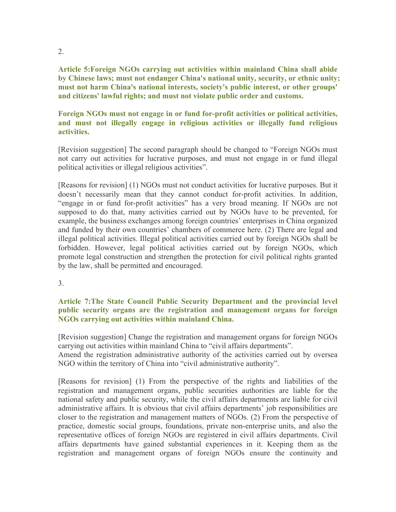**Article 5:Foreign NGOs carrying out activities within mainland China shall abide by Chinese laws; must not endanger China's national unity, security, or ethnic unity; must not harm China's national interests, society's public interest, or other groups' and citizens' lawful rights; and must not violate public order and customs.** 

## **Foreign NGOs must not engage in or fund for-profit activities or political activities, and must not illegally engage in religious activities or illegally fund religious activities.**

[Revision suggestion] The second paragraph should be changed to "Foreign NGOs must not carry out activities for lucrative purposes, and must not engage in or fund illegal political activities or illegal religious activities".

[Reasons for revision] (1) NGOs must not conduct activities for lucrative purposes. But it doesn't necessarily mean that they cannot conduct for-profit activities. In addition, "engage in or fund for-profit activities" has a very broad meaning. If NGOs are not supposed to do that, many activities carried out by NGOs have to be prevented, for example, the business exchanges among foreign countries' enterprises in China organized and funded by their own countries' chambers of commerce here. (2) There are legal and illegal political activities. Illegal political activities carried out by foreign NGOs shall be forbidden. However, legal political activities carried out by foreign NGOs, which promote legal construction and strengthen the protection for civil political rights granted by the law, shall be permitted and encouraged.

#### 3.

#### **Article 7:The State Council Public Security Department and the provincial level public security organs are the registration and management organs for foreign NGOs carrying out activities within mainland China.**

[Revision suggestion] Change the registration and management organs for foreign NGOs carrying out activities within mainland China to "civil affairs departments".

Amend the registration administrative authority of the activities carried out by oversea NGO within the territory of China into "civil administrative authority".

[Reasons for revision] (1) From the perspective of the rights and liabilities of the registration and management organs, public securities authorities are liable for the national safety and public security, while the civil affairs departments are liable for civil administrative affairs. It is obvious that civil affairs departments' job responsibilities are closer to the registration and management matters of NGOs. (2) From the perspective of practice, domestic social groups, foundations, private non-enterprise units, and also the representative offices of foreign NGOs are registered in civil affairs departments. Civil affairs departments have gained substantial experiences in it. Keeping them as the registration and management organs of foreign NGOs ensure the continuity and

2.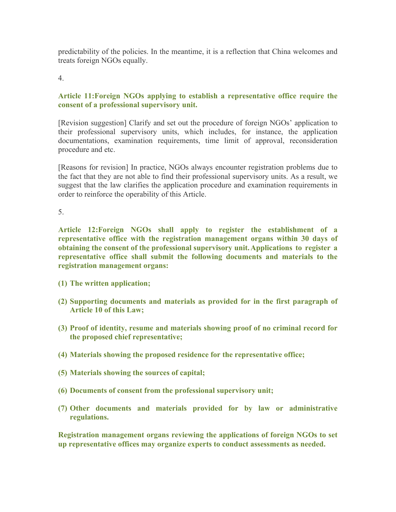predictability of the policies. In the meantime, it is a reflection that China welcomes and treats foreign NGOs equally.

4.

# **Article 11:Foreign NGOs applying to establish a representative office require the consent of a professional supervisory unit.**

[Revision suggestion] Clarify and set out the procedure of foreign NGOs' application to their professional supervisory units, which includes, for instance, the application documentations, examination requirements, time limit of approval, reconsideration procedure and etc.

[Reasons for revision] In practice, NGOs always encounter registration problems due to the fact that they are not able to find their professional supervisory units. As a result, we suggest that the law clarifies the application procedure and examination requirements in order to reinforce the operability of this Article.

5.

**Article 12:Foreign NGOs shall apply to register the establishment of a representative office with the registration management organs within 30 days of obtaining the consent of the professional supervisory unit. Applications to register a representative office shall submit the following documents and materials to the registration management organs:** 

- **(1) The written application;**
- **(2) Supporting documents and materials as provided for in the first paragraph of Article 10 of this Law;**
- **(3) Proof of identity, resume and materials showing proof of no criminal record for the proposed chief representative;**
- **(4) Materials showing the proposed residence for the representative office;**
- **(5) Materials showing the sources of capital;**
- **(6) Documents of consent from the professional supervisory unit;**
- **(7) Other documents and materials provided for by law or administrative regulations.**

**Registration management organs reviewing the applications of foreign NGOs to set up representative offices may organize experts to conduct assessments as needed.**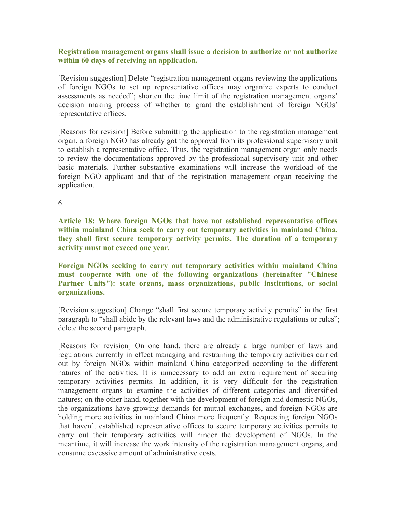## **Registration management organs shall issue a decision to authorize or not authorize within 60 days of receiving an application.**

[Revision suggestion] Delete "registration management organs reviewing the applications of foreign NGOs to set up representative offices may organize experts to conduct assessments as needed"; shorten the time limit of the registration management organs' decision making process of whether to grant the establishment of foreign NGOs' representative offices.

[Reasons for revision] Before submitting the application to the registration management organ, a foreign NGO has already got the approval from its professional supervisory unit to establish a representative office. Thus, the registration management organ only needs to review the documentations approved by the professional supervisory unit and other basic materials. Further substantive examinations will increase the workload of the foreign NGO applicant and that of the registration management organ receiving the application.

6.

**Article 18: Where foreign NGOs that have not established representative offices within mainland China seek to carry out temporary activities in mainland China, they shall first secure temporary activity permits. The duration of a temporary activity must not exceed one year.** 

**Foreign NGOs seeking to carry out temporary activities within mainland China must cooperate with one of the following organizations (hereinafter "Chinese Partner Units"): state organs, mass organizations, public institutions, or social organizations.**

[Revision suggestion] Change "shall first secure temporary activity permits" in the first paragraph to "shall abide by the relevant laws and the administrative regulations or rules"; delete the second paragraph.

[Reasons for revision] On one hand, there are already a large number of laws and regulations currently in effect managing and restraining the temporary activities carried out by foreign NGOs within mainland China categorized according to the different natures of the activities. It is unnecessary to add an extra requirement of securing temporary activities permits. In addition, it is very difficult for the registration management organs to examine the activities of different categories and diversified natures; on the other hand, together with the development of foreign and domestic NGOs, the organizations have growing demands for mutual exchanges, and foreign NGOs are holding more activities in mainland China more frequently. Requesting foreign NGOs that haven't established representative offices to secure temporary activities permits to carry out their temporary activities will hinder the development of NGOs. In the meantime, it will increase the work intensity of the registration management organs, and consume excessive amount of administrative costs.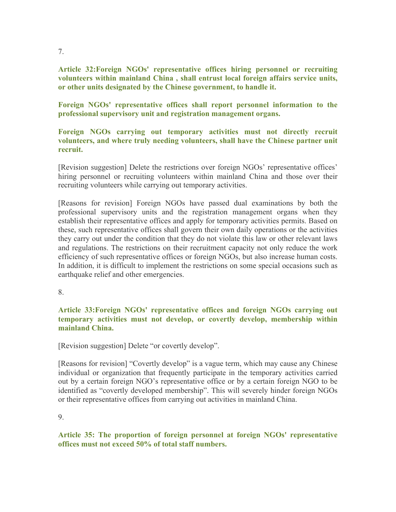**Article 32:Foreign NGOs' representative offices hiring personnel or recruiting volunteers within mainland China , shall entrust local foreign affairs service units, or other units designated by the Chinese government, to handle it.** 

**Foreign NGOs' representative offices shall report personnel information to the professional supervisory unit and registration management organs.** 

## **Foreign NGOs carrying out temporary activities must not directly recruit volunteers, and where truly needing volunteers, shall have the Chinese partner unit recruit.**

[Revision suggestion] Delete the restrictions over foreign NGOs' representative offices' hiring personnel or recruiting volunteers within mainland China and those over their recruiting volunteers while carrying out temporary activities.

[Reasons for revision] Foreign NGOs have passed dual examinations by both the professional supervisory units and the registration management organs when they establish their representative offices and apply for temporary activities permits. Based on these, such representative offices shall govern their own daily operations or the activities they carry out under the condition that they do not violate this law or other relevant laws and regulations. The restrictions on their recruitment capacity not only reduce the work efficiency of such representative offices or foreign NGOs, but also increase human costs. In addition, it is difficult to implement the restrictions on some special occasions such as earthquake relief and other emergencies.

8.

## **Article 33:Foreign NGOs' representative offices and foreign NGOs carrying out temporary activities must not develop, or covertly develop, membership within mainland China.**

[Revision suggestion] Delete "or covertly develop".

[Reasons for revision] "Covertly develop" is a vague term, which may cause any Chinese individual or organization that frequently participate in the temporary activities carried out by a certain foreign NGO's representative office or by a certain foreign NGO to be identified as "covertly developed membership". This will severely hinder foreign NGOs or their representative offices from carrying out activities in mainland China.

9.

**Article 35: The proportion of foreign personnel at foreign NGOs' representative offices must not exceed 50% of total staff numbers.** 

7.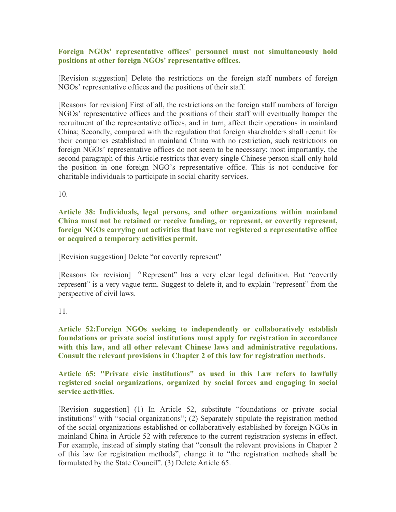## **Foreign NGOs' representative offices' personnel must not simultaneously hold positions at other foreign NGOs' representative offices.**

[Revision suggestion] Delete the restrictions on the foreign staff numbers of foreign NGOs' representative offices and the positions of their staff.

[Reasons for revision] First of all, the restrictions on the foreign staff numbers of foreign NGOs' representative offices and the positions of their staff will eventually hamper the recruitment of the representative offices, and in turn, affect their operations in mainland China; Secondly, compared with the regulation that foreign shareholders shall recruit for their companies established in mainland China with no restriction, such restrictions on foreign NGOs' representative offices do not seem to be necessary; most importantly, the second paragraph of this Article restricts that every single Chinese person shall only hold the position in one foreign NGO's representative office. This is not conducive for charitable individuals to participate in social charity services.

10.

**Article 38: Individuals, legal persons, and other organizations within mainland China must not be retained or receive funding, or represent, or covertly represent, foreign NGOs carrying out activities that have not registered a representative office or acquired a temporary activities permit.**

[Revision suggestion] Delete "or covertly represent"

[Reasons for revision] "Represent" has a very clear legal definition. But "covertly represent" is a very vague term. Suggest to delete it, and to explain "represent" from the perspective of civil laws.

## 11.

**Article 52:Foreign NGOs seeking to independently or collaboratively establish foundations or private social institutions must apply for registration in accordance with this law, and all other relevant Chinese laws and administrative regulations. Consult the relevant provisions in Chapter 2 of this law for registration methods.**

**Article 65: "Private civic institutions" as used in this Law refers to lawfully registered social organizations, organized by social forces and engaging in social service activities.**

[Revision suggestion] (1) In Article 52, substitute "foundations or private social institutions" with "social organizations"; (2) Separately stipulate the registration method of the social organizations established or collaboratively established by foreign NGOs in mainland China in Article 52 with reference to the current registration systems in effect. For example, instead of simply stating that "consult the relevant provisions in Chapter 2 of this law for registration methods", change it to "the registration methods shall be formulated by the State Council". (3) Delete Article 65.